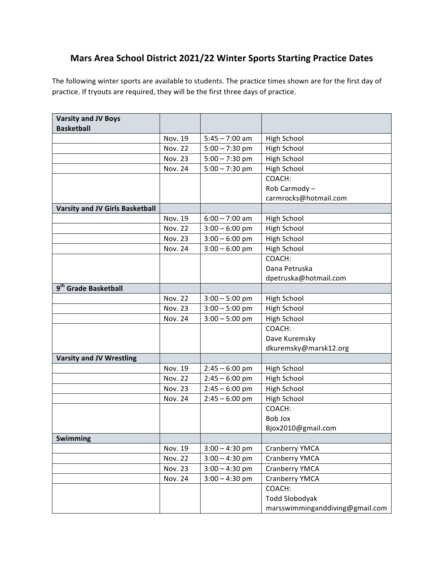## **Mars Area School District 2021/22 Winter Sports Starting Practice Dates**

The following winter sports are available to students. The practice times shown are for the first day of practice. If tryouts are required, they will be the first three days of practice.

| <b>Varsity and JV Boys</b>             |                |                  |                                 |
|----------------------------------------|----------------|------------------|---------------------------------|
| <b>Basketball</b>                      |                |                  |                                 |
|                                        | Nov. 19        | $5:45 - 7:00$ am | <b>High School</b>              |
|                                        | <b>Nov. 22</b> | $5:00 - 7:30$ pm | <b>High School</b>              |
|                                        | <b>Nov. 23</b> | $5:00 - 7:30$ pm | <b>High School</b>              |
|                                        | <b>Nov. 24</b> | $5:00 - 7:30$ pm | <b>High School</b>              |
|                                        |                |                  | COACH:                          |
|                                        |                |                  | Rob Carmody-                    |
|                                        |                |                  | carmrocks@hotmail.com           |
| <b>Varsity and JV Girls Basketball</b> |                |                  |                                 |
|                                        | Nov. 19        | $6:00 - 7:00$ am | <b>High School</b>              |
|                                        | <b>Nov. 22</b> | $3:00 - 6:00$ pm | High School                     |
|                                        | <b>Nov. 23</b> | $3:00 - 6:00$ pm | <b>High School</b>              |
|                                        | <b>Nov. 24</b> | $3:00 - 6:00$ pm | <b>High School</b>              |
|                                        |                |                  | COACH:                          |
|                                        |                |                  | Dana Petruska                   |
|                                        |                |                  | dpetruska@hotmail.com           |
| 9 <sup>th</sup> Grade Basketball       |                |                  |                                 |
|                                        | <b>Nov. 22</b> | $3:00 - 5:00$ pm | <b>High School</b>              |
|                                        | <b>Nov. 23</b> | $3:00 - 5:00$ pm | <b>High School</b>              |
|                                        | <b>Nov. 24</b> | $3:00 - 5:00$ pm | <b>High School</b>              |
|                                        |                |                  | COACH:                          |
|                                        |                |                  | Dave Kuremsky                   |
|                                        |                |                  | dkuremsky@marsk12.org           |
| <b>Varsity and JV Wrestling</b>        |                |                  |                                 |
|                                        | Nov. 19        | $2:45 - 6:00$ pm | <b>High School</b>              |
|                                        | <b>Nov. 22</b> | $2:45 - 6:00$ pm | <b>High School</b>              |
|                                        | <b>Nov. 23</b> | $2:45 - 6:00$ pm | <b>High School</b>              |
|                                        | Nov. 24        | $2:45 - 6:00$ pm | <b>High School</b>              |
|                                        |                |                  | COACH:                          |
|                                        |                |                  | Bob Jox                         |
|                                        |                |                  | Bjox2010@gmail.com              |
| <b>Swimming</b>                        |                |                  |                                 |
|                                        | Nov. 19        | $3:00 - 4:30$ pm | Cranberry YMCA                  |
|                                        | <b>Nov. 22</b> | $3:00 - 4:30$ pm | Cranberry YMCA                  |
|                                        | <b>Nov. 23</b> | $3:00 - 4:30$ pm | Cranberry YMCA                  |
|                                        | <b>Nov. 24</b> | $3:00 - 4:30$ pm | Cranberry YMCA                  |
|                                        |                |                  | COACH:                          |
|                                        |                |                  | <b>Todd Slobodyak</b>           |
|                                        |                |                  | marsswimminganddiving@gmail.com |